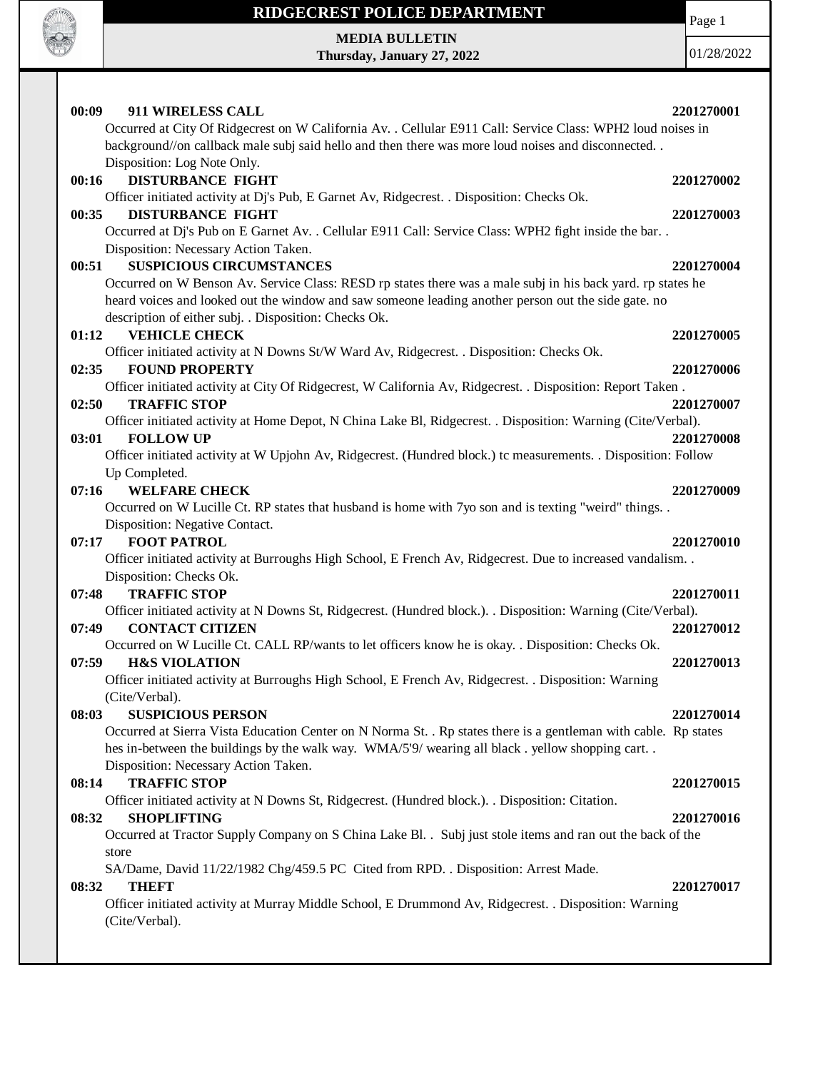

Page 1

**MEDIA BULLETIN Thursday, January 27, 2022**

| 00:09<br>911 WIRELESS CALL                                                                                                                           | 2201270001 |
|------------------------------------------------------------------------------------------------------------------------------------------------------|------------|
| Occurred at City Of Ridgecrest on W California Av. . Cellular E911 Call: Service Class: WPH2 loud noises in                                          |            |
| background//on callback male subj said hello and then there was more loud noises and disconnected                                                    |            |
| Disposition: Log Note Only.                                                                                                                          |            |
| <b>DISTURBANCE FIGHT</b><br>00:16<br>Officer initiated activity at Dj's Pub, E Garnet Av, Ridgecrest. . Disposition: Checks Ok.                      | 2201270002 |
| 00:35<br><b>DISTURBANCE FIGHT</b>                                                                                                                    | 2201270003 |
| Occurred at Dj's Pub on E Garnet Av. . Cellular E911 Call: Service Class: WPH2 fight inside the bar. .                                               |            |
| Disposition: Necessary Action Taken.                                                                                                                 |            |
| <b>SUSPICIOUS CIRCUMSTANCES</b><br>00:51                                                                                                             | 2201270004 |
| Occurred on W Benson Av. Service Class: RESD rp states there was a male subj in his back yard. rp states he                                          |            |
| heard voices and looked out the window and saw someone leading another person out the side gate. no                                                  |            |
| description of either subj. . Disposition: Checks Ok.                                                                                                |            |
| <b>VEHICLE CHECK</b><br>01:12                                                                                                                        | 2201270005 |
| Officer initiated activity at N Downs St/W Ward Av, Ridgecrest. . Disposition: Checks Ok.                                                            |            |
| 02:35<br><b>FOUND PROPERTY</b>                                                                                                                       | 2201270006 |
| Officer initiated activity at City Of Ridgecrest, W California Av, Ridgecrest. . Disposition: Report Taken.                                          |            |
| <b>TRAFFIC STOP</b><br>02:50                                                                                                                         | 2201270007 |
| Officer initiated activity at Home Depot, N China Lake Bl, Ridgecrest. . Disposition: Warning (Cite/Verbal).                                         |            |
| <b>FOLLOW UP</b><br>03:01<br>Officer initiated activity at W Upjohn Av, Ridgecrest. (Hundred block.) tc measurements. . Disposition: Follow          | 2201270008 |
| Up Completed.                                                                                                                                        |            |
| <b>WELFARE CHECK</b><br>07:16                                                                                                                        | 2201270009 |
| Occurred on W Lucille Ct. RP states that husband is home with 7yo son and is texting "weird" things                                                  |            |
| Disposition: Negative Contact.                                                                                                                       |            |
| <b>FOOT PATROL</b><br>07:17                                                                                                                          | 2201270010 |
| Officer initiated activity at Burroughs High School, E French Av, Ridgecrest. Due to increased vandalism                                             |            |
| Disposition: Checks Ok.                                                                                                                              |            |
| <b>TRAFFIC STOP</b><br>07:48                                                                                                                         | 2201270011 |
| Officer initiated activity at N Downs St, Ridgecrest. (Hundred block.). . Disposition: Warning (Cite/Verbal).                                        |            |
| <b>CONTACT CITIZEN</b><br>07:49                                                                                                                      | 2201270012 |
| Occurred on W Lucille Ct. CALL RP/wants to let officers know he is okay. . Disposition: Checks Ok.                                                   |            |
| 07:59<br><b>H&amp;S VIOLATION</b>                                                                                                                    | 2201270013 |
| Officer initiated activity at Burroughs High School, E French Av, Ridgecrest. . Disposition: Warning                                                 |            |
| (Cite/Verbal).                                                                                                                                       |            |
| <b>SUSPICIOUS PERSON</b><br>08:03<br>Occurred at Sierra Vista Education Center on N Norma St. . Rp states there is a gentleman with cable. Rp states | 2201270014 |
| hes in-between the buildings by the walk way. WMA/5'9/ wearing all black. yellow shopping cart                                                       |            |
| Disposition: Necessary Action Taken.                                                                                                                 |            |
| <b>TRAFFIC STOP</b><br>08:14                                                                                                                         | 2201270015 |
| Officer initiated activity at N Downs St, Ridgecrest. (Hundred block.). Disposition: Citation.                                                       |            |
| <b>SHOPLIFTING</b><br>08:32                                                                                                                          | 2201270016 |
| Occurred at Tractor Supply Company on S China Lake Bl. . Subj just stole items and ran out the back of the                                           |            |
| store                                                                                                                                                |            |
| SA/Dame, David 11/22/1982 Chg/459.5 PC Cited from RPD. . Disposition: Arrest Made.                                                                   |            |
| <b>THEFT</b><br>08:32                                                                                                                                | 2201270017 |
| Officer initiated activity at Murray Middle School, E Drummond Av, Ridgecrest. . Disposition: Warning                                                |            |
| (Cite/Verbal).                                                                                                                                       |            |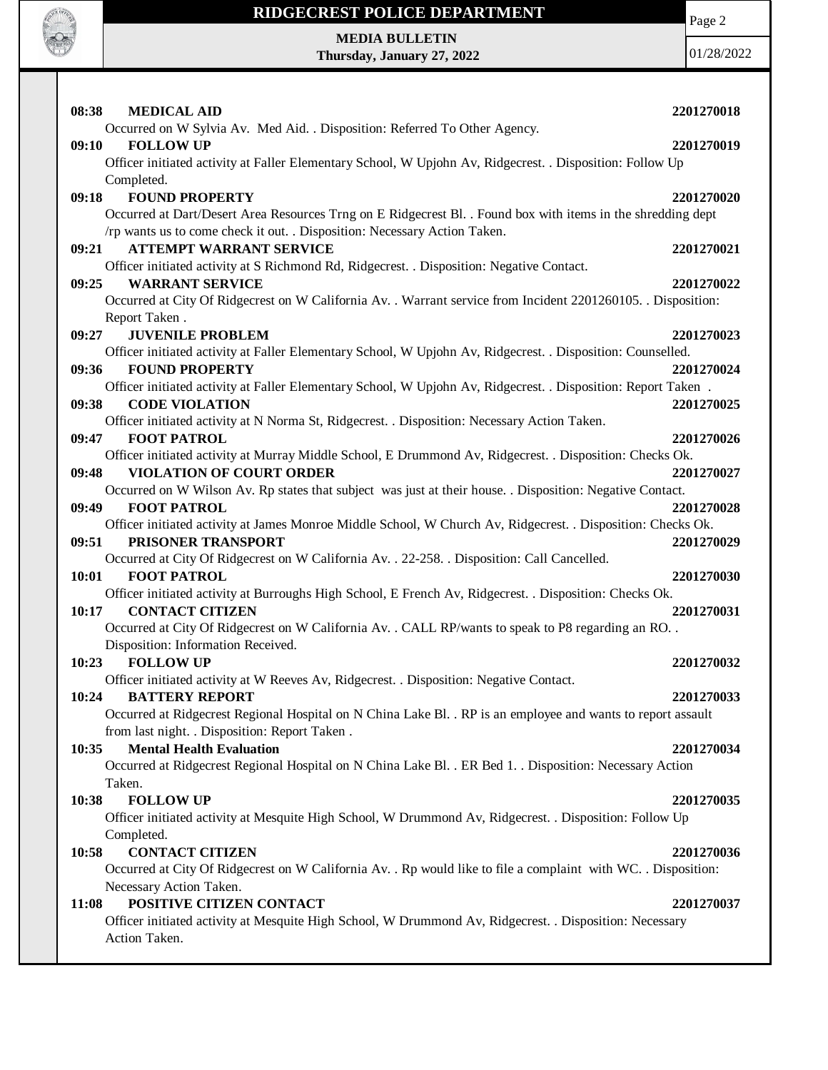

# **RIDGECREST POLICE DEPARTMENT MEDIA BULLETIN**

**Thursday, January 27, 2022**

Page 2

| 08:38<br><b>MEDICAL AID</b>                                                                                    | 2201270018 |
|----------------------------------------------------------------------------------------------------------------|------------|
| Occurred on W Sylvia Av. Med Aid. . Disposition: Referred To Other Agency.                                     |            |
| <b>FOLLOW UP</b><br>09:10                                                                                      | 2201270019 |
| Officer initiated activity at Faller Elementary School, W Upjohn Av, Ridgecrest. . Disposition: Follow Up      |            |
| Completed.                                                                                                     |            |
| <b>FOUND PROPERTY</b><br>09:18                                                                                 | 2201270020 |
| Occurred at Dart/Desert Area Resources Trng on E Ridgecrest Bl. . Found box with items in the shredding dept   |            |
| /rp wants us to come check it out. . Disposition: Necessary Action Taken.                                      |            |
| <b>ATTEMPT WARRANT SERVICE</b><br>09:21                                                                        | 2201270021 |
| Officer initiated activity at S Richmond Rd, Ridgecrest. . Disposition: Negative Contact.                      |            |
| <b>WARRANT SERVICE</b><br>09:25                                                                                | 2201270022 |
| Occurred at City Of Ridgecrest on W California Av. . Warrant service from Incident 2201260105. . Disposition:  |            |
| Report Taken.                                                                                                  |            |
| <b>JUVENILE PROBLEM</b><br>09:27                                                                               | 2201270023 |
| Officer initiated activity at Faller Elementary School, W Upjohn Av, Ridgecrest. . Disposition: Counselled.    |            |
| 09:36<br><b>FOUND PROPERTY</b>                                                                                 | 2201270024 |
| Officer initiated activity at Faller Elementary School, W Upjohn Av, Ridgecrest. . Disposition: Report Taken.  |            |
| <b>CODE VIOLATION</b><br>09:38                                                                                 | 2201270025 |
| Officer initiated activity at N Norma St, Ridgecrest. . Disposition: Necessary Action Taken.                   |            |
| <b>FOOT PATROL</b><br>09:47                                                                                    | 2201270026 |
|                                                                                                                |            |
| Officer initiated activity at Murray Middle School, E Drummond Av, Ridgecrest. . Disposition: Checks Ok.       |            |
| <b>VIOLATION OF COURT ORDER</b><br>09:48                                                                       | 2201270027 |
| Occurred on W Wilson Av. Rp states that subject was just at their house. . Disposition: Negative Contact.      |            |
| 09:49<br><b>FOOT PATROL</b>                                                                                    | 2201270028 |
| Officer initiated activity at James Monroe Middle School, W Church Av, Ridgecrest. . Disposition: Checks Ok.   |            |
| PRISONER TRANSPORT<br>09:51                                                                                    | 2201270029 |
| Occurred at City Of Ridgecrest on W California Av. . 22-258. . Disposition: Call Cancelled.                    |            |
| 10:01<br><b>FOOT PATROL</b>                                                                                    | 2201270030 |
| Officer initiated activity at Burroughs High School, E French Av, Ridgecrest. . Disposition: Checks Ok.        |            |
| 10:17<br><b>CONTACT CITIZEN</b>                                                                                | 2201270031 |
| Occurred at City Of Ridgecrest on W California Av. . CALL RP/wants to speak to P8 regarding an RO. .           |            |
| Disposition: Information Received.                                                                             |            |
| 10:23<br><b>FOLLOW UP</b>                                                                                      | 2201270032 |
| Officer initiated activity at W Reeves Av, Ridgecrest. . Disposition: Negative Contact.                        |            |
| <b>BATTERY REPORT</b><br>10:24                                                                                 | 2201270033 |
| Occurred at Ridgecrest Regional Hospital on N China Lake Bl. . RP is an employee and wants to report assault   |            |
| from last night. . Disposition: Report Taken.                                                                  |            |
| <b>Mental Health Evaluation</b><br>10:35                                                                       | 2201270034 |
| Occurred at Ridgecrest Regional Hospital on N China Lake Bl. . ER Bed 1. . Disposition: Necessary Action       |            |
| Taken.                                                                                                         |            |
| <b>FOLLOW UP</b><br>10:38                                                                                      | 2201270035 |
| Officer initiated activity at Mesquite High School, W Drummond Av, Ridgecrest. . Disposition: Follow Up        |            |
| Completed.                                                                                                     |            |
|                                                                                                                |            |
| <b>CONTACT CITIZEN</b><br>10:58                                                                                | 2201270036 |
| Occurred at City Of Ridgecrest on W California Av. . Rp would like to file a complaint with WC. . Disposition: |            |
| Necessary Action Taken.                                                                                        |            |
| POSITIVE CITIZEN CONTACT<br>11:08                                                                              | 2201270037 |
| Officer initiated activity at Mesquite High School, W Drummond Av, Ridgecrest. . Disposition: Necessary        |            |
| Action Taken.                                                                                                  |            |
|                                                                                                                |            |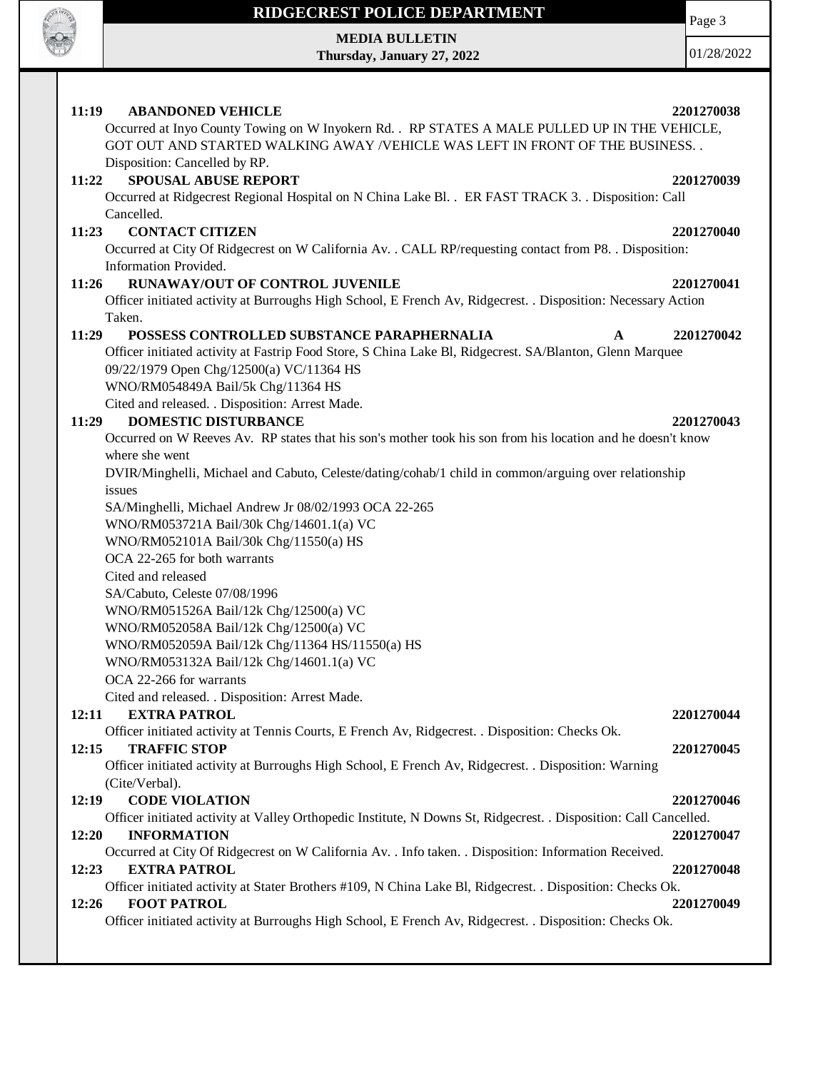

**MEDIA BULLETIN Thursday, January 27, 2022**

01/28/2022

| 11:19<br><b>ABANDONED VEHICLE</b>                                                                                                                                               | 2201270038 |
|---------------------------------------------------------------------------------------------------------------------------------------------------------------------------------|------------|
| Occurred at Inyo County Towing on W Inyokern Rd. . RP STATES A MALE PULLED UP IN THE VEHICLE,<br>GOT OUT AND STARTED WALKING AWAY /VEHICLE WAS LEFT IN FRONT OF THE BUSINESS. . |            |
|                                                                                                                                                                                 |            |
| Disposition: Cancelled by RP.                                                                                                                                                   |            |
| <b>SPOUSAL ABUSE REPORT</b><br>11:22                                                                                                                                            | 2201270039 |
| Occurred at Ridgecrest Regional Hospital on N China Lake Bl. . ER FAST TRACK 3. . Disposition: Call                                                                             |            |
| Cancelled.                                                                                                                                                                      |            |
| 11:23<br><b>CONTACT CITIZEN</b>                                                                                                                                                 | 2201270040 |
| Occurred at City Of Ridgecrest on W California Av. . CALL RP/requesting contact from P8. . Disposition:<br>Information Provided.                                                |            |
| <b>RUNAWAY/OUT OF CONTROL JUVENILE</b><br>11:26                                                                                                                                 |            |
|                                                                                                                                                                                 | 2201270041 |
| Officer initiated activity at Burroughs High School, E French Av, Ridgecrest. . Disposition: Necessary Action                                                                   |            |
| Taken.<br>POSSESS CONTROLLED SUBSTANCE PARAPHERNALIA                                                                                                                            |            |
| 11:29<br>$\mathbf A$                                                                                                                                                            | 2201270042 |
| Officer initiated activity at Fastrip Food Store, S China Lake Bl, Ridgecrest. SA/Blanton, Glenn Marquee                                                                        |            |
| 09/22/1979 Open Chg/12500(a) VC/11364 HS                                                                                                                                        |            |
| WNO/RM054849A Bail/5k Chg/11364 HS                                                                                                                                              |            |
| Cited and released. . Disposition: Arrest Made.                                                                                                                                 |            |
| <b>DOMESTIC DISTURBANCE</b><br>11:29<br>Occurred on W Reeves Av. RP states that his son's mother took his son from his location and he doesn't know                             | 2201270043 |
|                                                                                                                                                                                 |            |
| where she went                                                                                                                                                                  |            |
| DVIR/Minghelli, Michael and Cabuto, Celeste/dating/cohab/1 child in common/arguing over relationship                                                                            |            |
| issues                                                                                                                                                                          |            |
| SA/Minghelli, Michael Andrew Jr 08/02/1993 OCA 22-265                                                                                                                           |            |
| WNO/RM053721A Bail/30k Chg/14601.1(a) VC<br>WNO/RM052101A Bail/30k Chg/11550(a) HS                                                                                              |            |
| OCA 22-265 for both warrants                                                                                                                                                    |            |
| Cited and released                                                                                                                                                              |            |
|                                                                                                                                                                                 |            |
| SA/Cabuto, Celeste 07/08/1996                                                                                                                                                   |            |
| WNO/RM051526A Bail/12k Chg/12500(a) VC                                                                                                                                          |            |
| WNO/RM052058A Bail/12k Chg/12500(a) VC<br>WNO/RM052059A Bail/12k Chg/11364 HS/11550(a) HS                                                                                       |            |
| WNO/RM053132A Bail/12k Chg/14601.1(a) VC                                                                                                                                        |            |
| OCA 22-266 for warrants                                                                                                                                                         |            |
|                                                                                                                                                                                 |            |
| Cited and released. . Disposition: Arrest Made<br>12:11<br><b>EXTRA PATROL</b>                                                                                                  | 2201270044 |
| Officer initiated activity at Tennis Courts, E French Av, Ridgecrest. . Disposition: Checks Ok.                                                                                 |            |
| 12:15<br><b>TRAFFIC STOP</b>                                                                                                                                                    | 2201270045 |
| Officer initiated activity at Burroughs High School, E French Av, Ridgecrest. . Disposition: Warning                                                                            |            |
| (Cite/Verbal).                                                                                                                                                                  |            |
| 12:19<br><b>CODE VIOLATION</b>                                                                                                                                                  | 2201270046 |
| Officer initiated activity at Valley Orthopedic Institute, N Downs St, Ridgecrest. . Disposition: Call Cancelled.                                                               |            |
| <b>INFORMATION</b><br>12:20                                                                                                                                                     | 2201270047 |
| Occurred at City Of Ridgecrest on W California Av. . Info taken. . Disposition: Information Received.                                                                           |            |
| <b>EXTRA PATROL</b><br>12:23                                                                                                                                                    | 2201270048 |
| Officer initiated activity at Stater Brothers #109, N China Lake Bl, Ridgecrest. . Disposition: Checks Ok.                                                                      |            |
| <b>FOOT PATROL</b><br>12:26                                                                                                                                                     | 2201270049 |
| Officer initiated activity at Burroughs High School, E French Av, Ridgecrest. . Disposition: Checks Ok.                                                                         |            |
|                                                                                                                                                                                 |            |

Page 3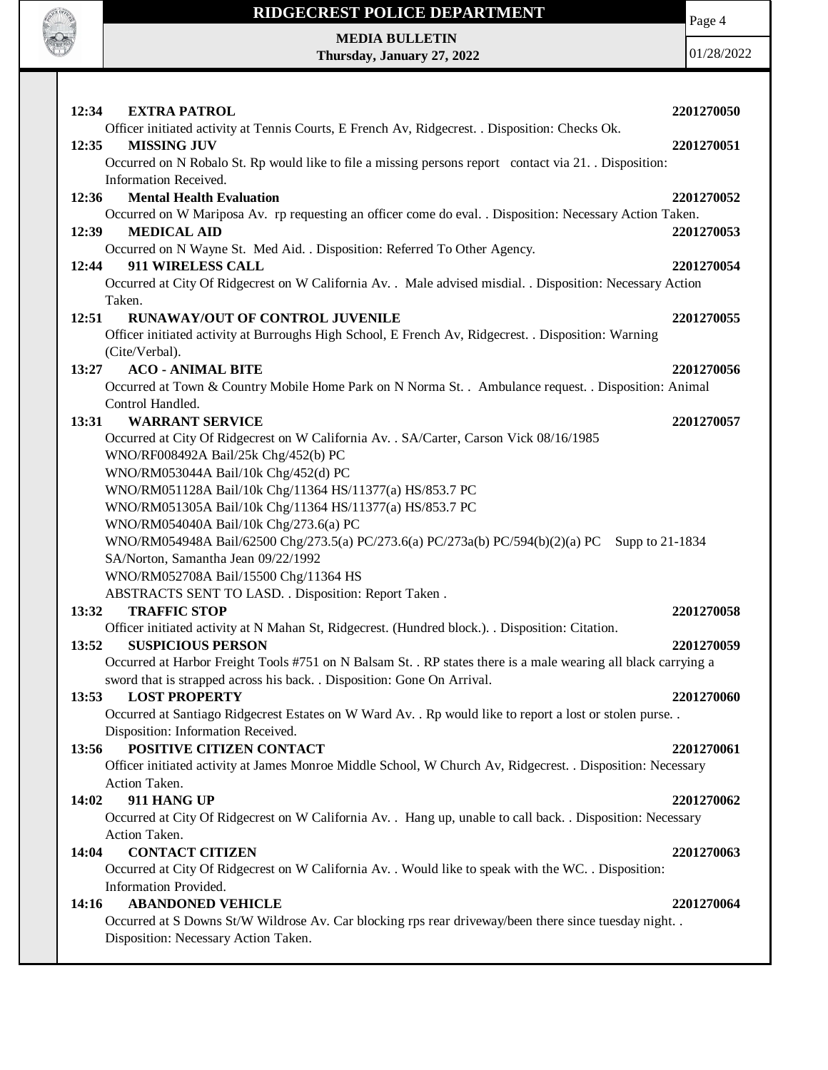

Page 4

**MEDIA BULLETIN Thursday, January 27, 2022**

| 12:34<br><b>EXTRA PATROL</b>                                                                                                              | 2201270050 |
|-------------------------------------------------------------------------------------------------------------------------------------------|------------|
| Officer initiated activity at Tennis Courts, E French Av, Ridgecrest. . Disposition: Checks Ok.                                           |            |
| <b>MISSING JUV</b><br>12:35                                                                                                               | 2201270051 |
| Occurred on N Robalo St. Rp would like to file a missing persons report contact via 21. Disposition:<br>Information Received.             |            |
| 12:36<br><b>Mental Health Evaluation</b>                                                                                                  | 2201270052 |
| Occurred on W Mariposa Av. rp requesting an officer come do eval. . Disposition: Necessary Action Taken.                                  |            |
| <b>MEDICAL AID</b><br>12:39                                                                                                               | 2201270053 |
| Occurred on N Wayne St. Med Aid. . Disposition: Referred To Other Agency.                                                                 |            |
| 911 WIRELESS CALL<br>12:44                                                                                                                | 2201270054 |
| Occurred at City Of Ridgecrest on W California Av. . Male advised misdial. . Disposition: Necessary Action                                |            |
| Taken.<br>RUNAWAY/OUT OF CONTROL JUVENILE<br>12:51                                                                                        | 2201270055 |
| Officer initiated activity at Burroughs High School, E French Av, Ridgecrest. . Disposition: Warning                                      |            |
| (Cite/Verbal).                                                                                                                            |            |
| <b>ACO - ANIMAL BITE</b><br>13:27                                                                                                         | 2201270056 |
| Occurred at Town & Country Mobile Home Park on N Norma St. . Ambulance request. . Disposition: Animal                                     |            |
| Control Handled.                                                                                                                          |            |
| <b>WARRANT SERVICE</b><br>13:31                                                                                                           | 2201270057 |
| Occurred at City Of Ridgecrest on W California Av. . SA/Carter, Carson Vick 08/16/1985                                                    |            |
| WNO/RF008492A Bail/25k Chg/452(b) PC                                                                                                      |            |
| WNO/RM053044A Bail/10k Chg/452(d) PC                                                                                                      |            |
| WNO/RM051128A Bail/10k Chg/11364 HS/11377(a) HS/853.7 PC                                                                                  |            |
| WNO/RM051305A Bail/10k Chg/11364 HS/11377(a) HS/853.7 PC                                                                                  |            |
| WNO/RM054040A Bail/10k Chg/273.6(a) PC                                                                                                    |            |
| WNO/RM054948A Bail/62500 Chg/273.5(a) PC/273.6(a) PC/273a(b) PC/594(b)(2)(a) PC<br>Supp to 21-1834<br>SA/Norton, Samantha Jean 09/22/1992 |            |
| WNO/RM052708A Bail/15500 Chg/11364 HS                                                                                                     |            |
| ABSTRACTS SENT TO LASD. . Disposition: Report Taken.                                                                                      |            |
| 13:32<br><b>TRAFFIC STOP</b>                                                                                                              | 2201270058 |
| Officer initiated activity at N Mahan St, Ridgecrest. (Hundred block.). . Disposition: Citation.                                          |            |
| 13:52<br><b>SUSPICIOUS PERSON</b>                                                                                                         | 2201270059 |
| Occurred at Harbor Freight Tools #751 on N Balsam St. . RP states there is a male wearing all black carrying a                            |            |
| sword that is strapped across his back. . Disposition: Gone On Arrival.                                                                   |            |
| 13:53<br><b>LOST PROPERTY</b>                                                                                                             | 2201270060 |
| Occurred at Santiago Ridgecrest Estates on W Ward Av. . Rp would like to report a lost or stolen purse. .                                 |            |
| Disposition: Information Received.                                                                                                        |            |
| POSITIVE CITIZEN CONTACT<br>13:56                                                                                                         | 2201270061 |
| Officer initiated activity at James Monroe Middle School, W Church Av, Ridgecrest. . Disposition: Necessary<br>Action Taken.              |            |
| 911 HANG UP<br>14:02                                                                                                                      | 2201270062 |
| Occurred at City Of Ridgecrest on W California Av. . Hang up, unable to call back. . Disposition: Necessary                               |            |
| Action Taken.                                                                                                                             |            |
| <b>CONTACT CITIZEN</b><br>14:04                                                                                                           | 2201270063 |
| Occurred at City Of Ridgecrest on W California Av. . Would like to speak with the WC. . Disposition:                                      |            |
| Information Provided.                                                                                                                     |            |
| <b>ABANDONED VEHICLE</b><br>14:16                                                                                                         | 2201270064 |
| Occurred at S Downs St/W Wildrose Av. Car blocking rps rear driveway/been there since tuesday night. .                                    |            |
| Disposition: Necessary Action Taken.                                                                                                      |            |
|                                                                                                                                           |            |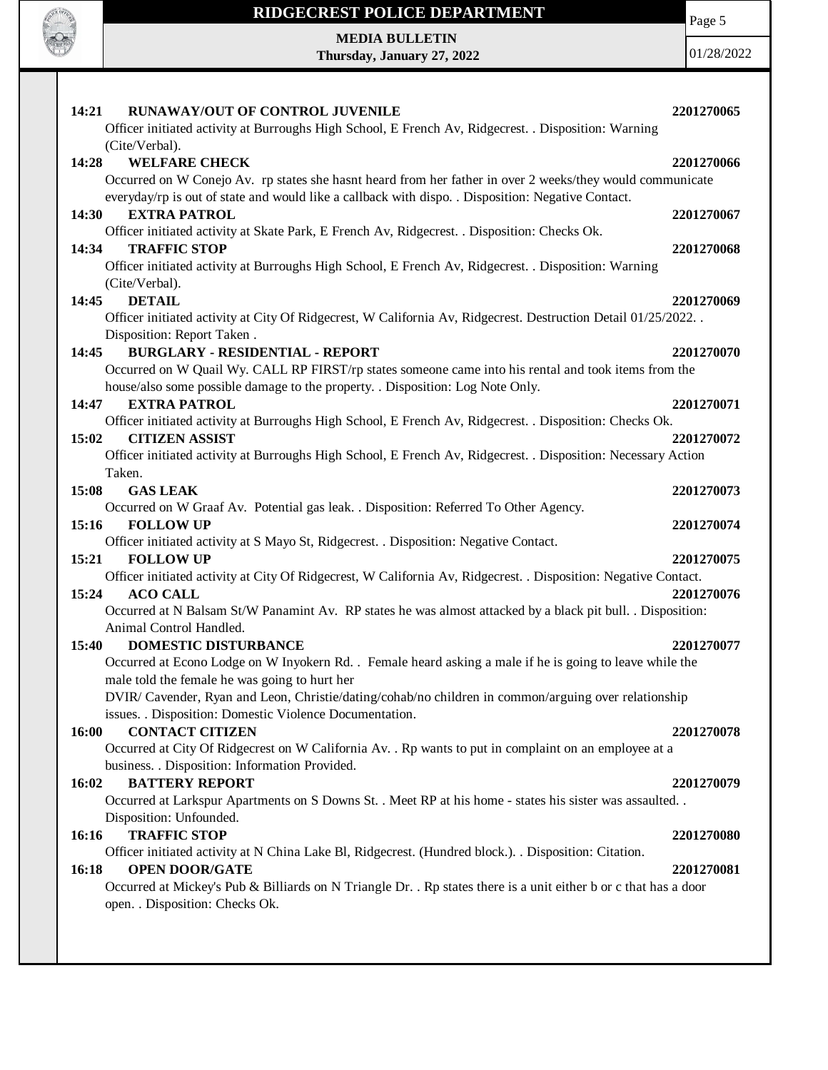

**MEDIA BULLETIN**

**Thursday, January 27, 2022**

Page 5

| 14:21<br>RUNAWAY/OUT OF CONTROL JUVENILE<br>Officer initiated activity at Burroughs High School, E French Av, Ridgecrest. . Disposition: Warning                                                                                                                                        | 2201270065               |
|-----------------------------------------------------------------------------------------------------------------------------------------------------------------------------------------------------------------------------------------------------------------------------------------|--------------------------|
| (Cite/Verbal).<br><b>WELFARE CHECK</b><br>14:28<br>Occurred on W Conejo Av. rp states she hasnt heard from her father in over 2 weeks/they would communicate                                                                                                                            | 2201270066               |
| everyday/rp is out of state and would like a callback with dispo. . Disposition: Negative Contact.<br><b>EXTRA PATROL</b><br>14:30<br>Officer initiated activity at Skate Park, E French Av, Ridgecrest. . Disposition: Checks Ok.                                                      | 2201270067               |
| <b>TRAFFIC STOP</b><br>14:34<br>Officer initiated activity at Burroughs High School, E French Av, Ridgecrest. . Disposition: Warning<br>(Cite/Verbal).                                                                                                                                  | 2201270068               |
| <b>DETAIL</b><br>14:45<br>Officer initiated activity at City Of Ridgecrest, W California Av, Ridgecrest. Destruction Detail 01/25/2022<br>Disposition: Report Taken.                                                                                                                    | 2201270069               |
| <b>BURGLARY - RESIDENTIAL - REPORT</b><br>14:45<br>Occurred on W Quail Wy. CALL RP FIRST/rp states someone came into his rental and took items from the<br>house/also some possible damage to the property. . Disposition: Log Note Only.                                               | 2201270070               |
| <b>EXTRA PATROL</b><br>14:47<br>Officer initiated activity at Burroughs High School, E French Av, Ridgecrest. . Disposition: Checks Ok.<br><b>CITIZEN ASSIST</b><br>15:02                                                                                                               | 2201270071<br>2201270072 |
| Officer initiated activity at Burroughs High School, E French Av, Ridgecrest. . Disposition: Necessary Action<br>Taken.<br>15:08<br><b>GAS LEAK</b>                                                                                                                                     | 2201270073               |
| Occurred on W Graaf Av. Potential gas leak. . Disposition: Referred To Other Agency.<br><b>FOLLOW UP</b><br>15:16<br>Officer initiated activity at S Mayo St, Ridgecrest. . Disposition: Negative Contact.                                                                              | 2201270074               |
| 15:21<br><b>FOLLOW UP</b><br>Officer initiated activity at City Of Ridgecrest, W California Av, Ridgecrest. . Disposition: Negative Contact.<br>15:24<br><b>ACO CALL</b><br>Occurred at N Balsam St/W Panamint Av. RP states he was almost attacked by a black pit bull. . Disposition: | 2201270075<br>2201270076 |
| Animal Control Handled.<br><b>DOMESTIC DISTURBANCE</b><br>15:40<br>Occurred at Econo Lodge on W Inyokern Rd. . Female heard asking a male if he is going to leave while the<br>male told the female he was going to hurt her                                                            | 2201270077               |
| DVIR/ Cavender, Ryan and Leon, Christie/dating/cohab/no children in common/arguing over relationship<br>issues. . Disposition: Domestic Violence Documentation.                                                                                                                         |                          |
| <b>CONTACT CITIZEN</b><br>16:00<br>Occurred at City Of Ridgecrest on W California Av. . Rp wants to put in complaint on an employee at a<br>business. . Disposition: Information Provided.                                                                                              | 2201270078               |
| <b>BATTERY REPORT</b><br>16:02<br>Occurred at Larkspur Apartments on S Downs St. . Meet RP at his home - states his sister was assaulted. .<br>Disposition: Unfounded.                                                                                                                  | 2201270079               |
| <b>TRAFFIC STOP</b><br>16:16<br>Officer initiated activity at N China Lake Bl, Ridgecrest. (Hundred block.). . Disposition: Citation.<br><b>OPEN DOOR/GATE</b><br>16:18                                                                                                                 | 2201270080<br>2201270081 |
| Occurred at Mickey's Pub & Billiards on N Triangle Dr. . Rp states there is a unit either b or c that has a door<br>open. . Disposition: Checks Ok.                                                                                                                                     |                          |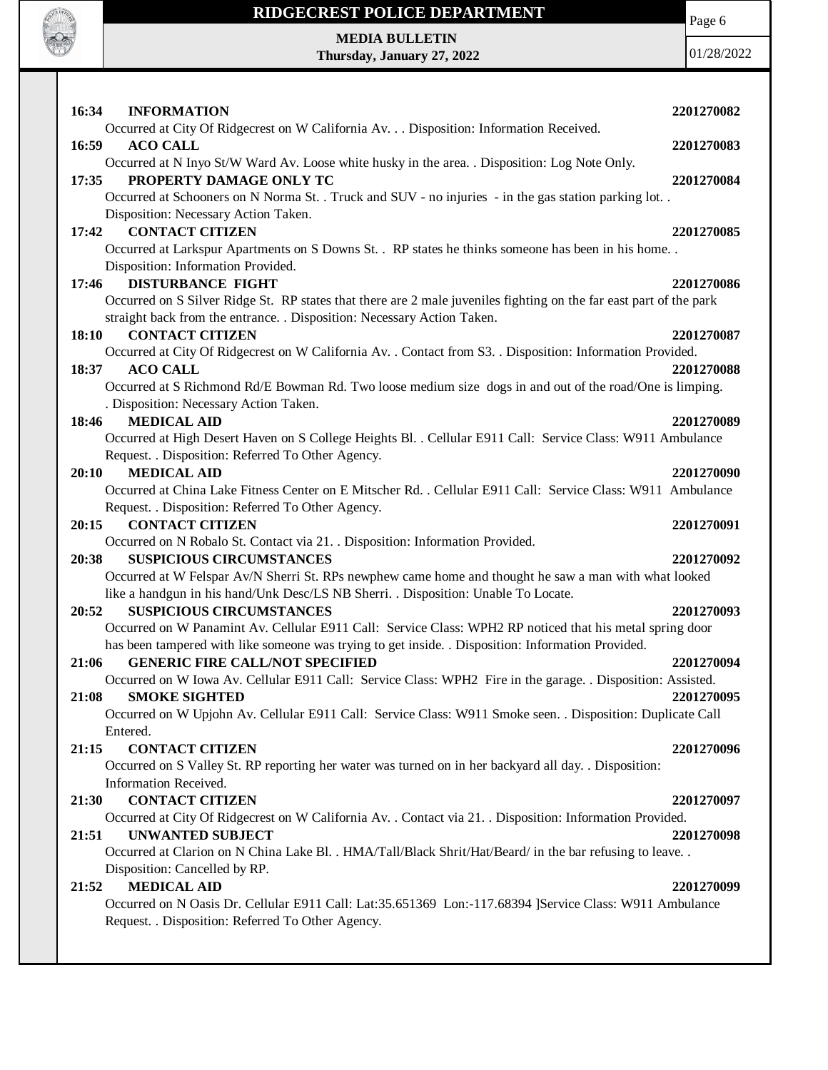